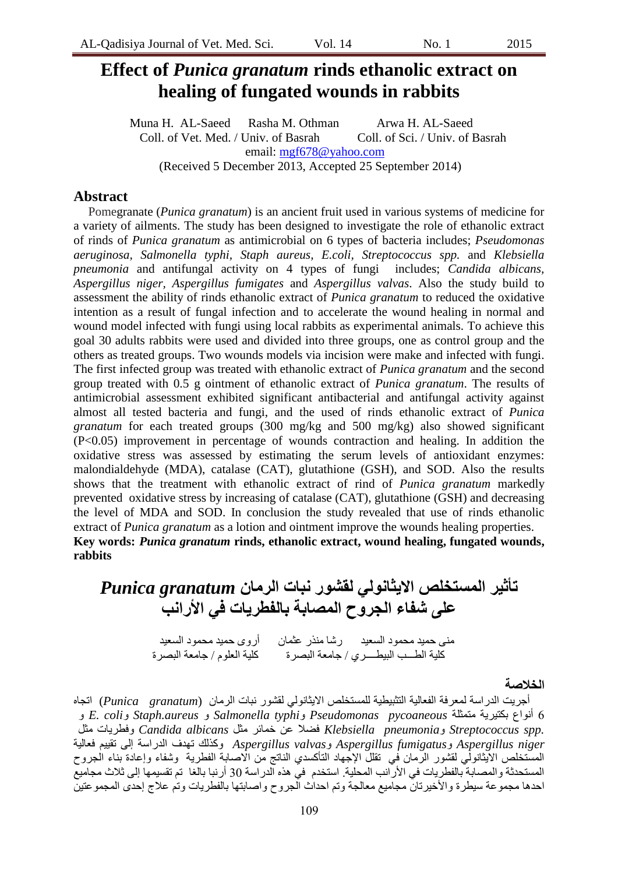# **Effect of** *Punica granatum* **rinds ethanolic extract on healing of fungated wounds in rabbits**

Muna H. AL-Saeed Rasha M. Othman Arwa H. AL-Saeed Coll. of Vet. Med. / Univ. of Basrah Coll. of Sci. / Univ. of Basrah email: [mgf678@yahoo.com](mailto:mgf678@yahoo.com) (Received 5 December 2013, Accepted 25 September 2014)

### **Abstract**

Pomegranate (*Punica granatum*) is an ancient fruit used in various systems of medicine for a variety of ailments. The study has been designed to investigate the role of ethanolic extract of rinds of *Punica granatum* as antimicrobial on 6 types of bacteria includes; *Pseudomonas aeruginosa, Salmonella typhi, Staph aureus, E.coli, Streptococcus spp.* and *Klebsiella pneumonia* and antifungal activity on 4 types of fungi includes; *Candida albicans, Aspergillus niger, Aspergillus fumigates* and *Aspergillus valvas*. Also the study build to assessment the ability of rinds ethanolic extract of *Punica granatum* to reduced the oxidative intention as a result of fungal infection and to accelerate the wound healing in normal and wound model infected with fungi using local rabbits as experimental animals. To achieve this goal 30 adults rabbits were used and divided into three groups, one as control group and the others as treated groups. Two wounds models via incision were make and infected with fungi. The first infected group was treated with ethanolic extract of *Punica granatum* and the second group treated with 0.5 g ointment of ethanolic extract of *Punica granatum*. The results of antimicrobial assessment exhibited significant antibacterial and antifungal activity against almost all tested bacteria and fungi, and the used of rinds ethanolic extract of *Punica granatum* for each treated groups (300 mg/kg and 500 mg/kg) also showed significant (P<0.05) improvement in percentage of wounds contraction and healing. In addition the oxidative stress was assessed by estimating the serum levels of antioxidant enzymes: malondialdehyde (MDA), catalase (CAT), glutathione (GSH), and SOD. Also the results shows that the treatment with ethanolic extract of rind of *Punica granatum* markedly prevented oxidative stress by increasing of catalase (CAT), glutathione (GSH) and decreasing the level of MDA and SOD. In conclusion the study revealed that use of rinds ethanolic extract of *Punica granatum* as a lotion and ointment improve the wounds healing properties. **Key words:** *Punica granatum* **rinds, ethanolic extract, wound healing, fungated wounds, rabbits**

**تأثير المستخلص االيثانولي لقشور نبات الرمان** *granatum Punica* **على شفاء الجروح المصابة بالفطريات في األرانب**

> مني حميد محمود السعيد لرشا منذر عثمان أروى حميد محمود السعيد كلبة الطــب الببطـــزي / جامعة البصرة لكلبة العلوم / جامعة البصرة

#### **الخالصة**

أجرِيت الدراسة لمعرفة الفعالية التثبيطية للمستخلص الايثانولي لقشور نبات الرمان (*Punica granatum*) اتجاه 6 أَىاع بكخُزَت يخًثهت *pycoaneous Pseudomonas* و*typhi Salmonella* و *aureus.Staph* و*coli .E* و *.spp Streptococcus* و*pneumonia Klebsiella* فضال عٍ خًبئز يثم *albicans Candida* وفطزَبث يثم *niger Aspergillus* و*fumigatus Aspergillus* و*valvas Aspergillus* وكذنك حهذف انذراست إنً حقُُى فعبنُت المسّتخلص الآيثانولّـي لقشور الرّمان في نقللّ الإجّـهاد الناكسدي الناتج مّن الاصابة الفطرية وشفاء وإعادة بناء الجروح المستحدثة والمصابة بالفطريات في الأرانب المحلية. استخدم في هذه الدراسة 30 أرنبا بالغا تم تقسيمها إلى ثلاث مجاميع احدها مجموعة سيطرة والأخيرتان مجاميع معالجة وتم احداث الجروح واصبابتها بالفطرَبات وتم علاج إحدى المجموعتين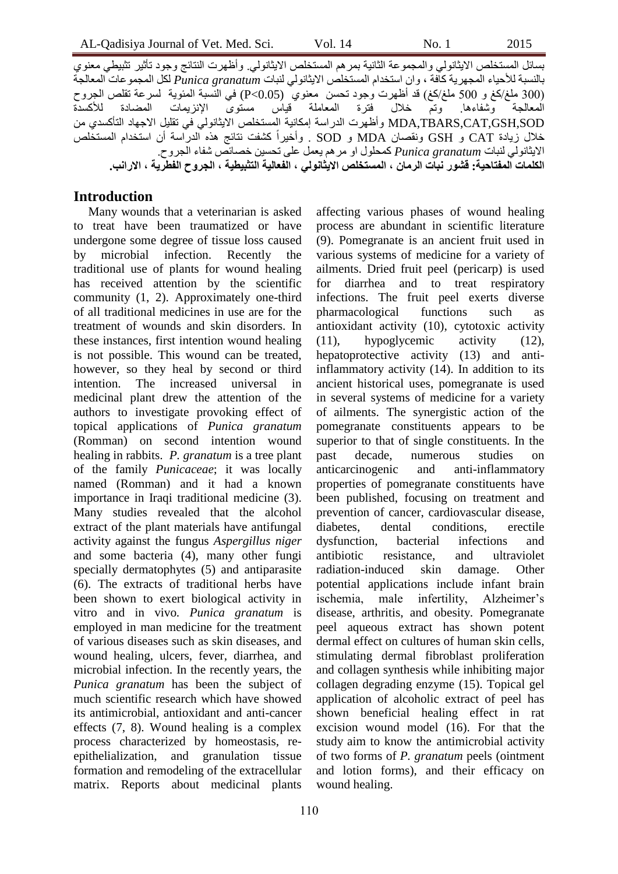بسائل المستخلص الايثانولي والمجموعة الثانية بمرهم المستخلص الايثانولي. وأظهرت النتائج وجود تأثير تثبيطي معنوى بالنسبة للأحياء المجهزية كافة ، وان استخدام المستخلص الايثانولي لنبات *Punica granatum* لكل المجموعات المعالجة )300 يهغ/كغ و 500 يهغ/كغ( قذ أظهزث وجىد ححسٍ يعُىٌ (0.05>P (فٍ انُسبت انًئىَت نسزعت حقهص انجزوح المعالجة وشفاءها وتم خلال فترة المعاملة قياس مستوى الإنزيمات المضادة للأكسدة MDA,TBARS,CAT,GSH,SOD وأظهرت الدراسة إمكانية المستخلص الايثانولي في تقليل الاجهاد التأكسدي من خلال زيادة CAT و GSH ونقصان MDA و SOD . وأخيراً كشفت نتائج هذه الدراسة أن استخدام المستخلص االَثبَىنٍ نُببث *granatum Punica* كًحهىل او يزهى َعًم عهً ححسٍُ خصبئص شفبء انجزوح. **الكلمات المفتاحية: قشور نبات الرمان ، المستخلص االيثانولي ، الفعالية التثبيطية ، الجروح الفطرية ، االرانب.**

#### **Introduction**

Many wounds that a veterinarian is asked to treat have been traumatized or have undergone some degree of tissue loss caused by microbial infection. Recently the traditional use of plants for wound healing has received attention by the scientific community (1, 2). Approximately one-third of all traditional medicines in use are for the treatment of wounds and skin disorders. In these instances, first intention wound healing is not possible. This wound can be treated, however, so they heal by second or third intention. The increased universal in medicinal plant drew the attention of the authors to investigate provoking effect of topical applications of *Punica granatum* (Romman) on second intention wound healing in rabbits. *P. granatum* is a tree plant of the family *Punicaceae*; it was locally named (Romman) and it had a known importance in Iraqi traditional medicine (3). Many studies revealed that the alcohol extract of the plant materials have antifungal activity against the fungus *Aspergillus niger* and some bacteria (4), many other fungi specially dermatophytes (5) and antiparasite (6). The extracts of traditional herbs have been shown to exert biological activity in vitro and in vivo*. Punica granatum* is employed in man medicine for the treatment of various diseases such as skin diseases, and wound healing, ulcers, fever, diarrhea, and microbial infection. In the recently years, the *Punica granatum* has been the subject of much scientific research which have showed its antimicrobial, antioxidant and anti-cancer effects (7, 8). Wound healing is a complex process characterized by homeostasis, reepithelialization, and granulation tissue formation and remodeling of the extracellular matrix. Reports about medicinal plants

affecting various phases of wound healing process are abundant in scientific literature (9). Pomegranate is an ancient fruit used in various systems of medicine for a variety of ailments. Dried fruit peel (pericarp) is used for diarrhea and to treat respiratory infections. The fruit peel exerts diverse pharmacological functions such as antioxidant activity (10), cytotoxic activity (11), hypoglycemic activity (12), hepatoprotective activity (13) and antiinflammatory activity (14). In addition to its ancient historical uses, pomegranate is used in several systems of medicine for a variety of ailments. The synergistic action of the pomegranate constituents appears to be superior to that of single constituents. In the past decade, numerous studies on anticarcinogenic and anti-inflammatory properties of pomegranate constituents have been published, focusing on treatment and prevention of cancer, cardiovascular disease, diabetes, dental conditions, erectile dysfunction, bacterial infections and antibiotic resistance, and ultraviolet radiation-induced skin damage. Other potential applications include infant brain ischemia, male infertility, Alzheimer's disease, arthritis, and obesity. Pomegranate peel aqueous extract has shown potent dermal effect on cultures of human skin cells, stimulating dermal fibroblast proliferation and collagen synthesis while inhibiting major collagen degrading enzyme (15). Topical gel application of alcoholic extract of peel has shown beneficial healing effect in rat excision wound model (16). For that the study aim to know the antimicrobial activity of two forms of *P. granatum* peels (ointment and lotion forms), and their efficacy on wound healing.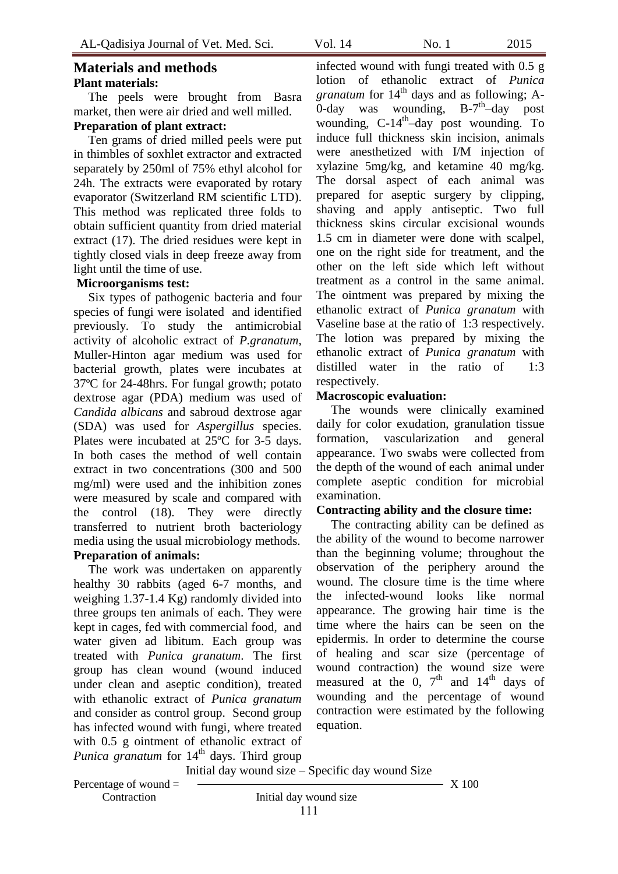# **Materials and methods Plant materials:**

The peels were brought from Basra market, then were air dried and well milled.

### **Preparation of plant extract:**

Ten grams of dried milled peels were put in thimbles of soxhlet extractor and extracted separately by 250ml of 75% ethyl alcohol for 24h. The extracts were evaporated by rotary evaporator (Switzerland RM scientific LTD). This method was replicated three folds to obtain sufficient quantity from dried material extract (17). The dried residues were kept in tightly closed vials in deep freeze away from light until the time of use.

#### **Microorganisms test:**

Six types of pathogenic bacteria and four species of fungi were isolated and identified previously. To study the antimicrobial activity of alcoholic extract of *P.granatum*, Muller-Hinton agar medium was used for bacterial growth, plates were incubates at 37ºC for 24-48hrs. For fungal growth; potato dextrose agar (PDA) medium was used of *Candida albicans* and sabroud dextrose agar (SDA) was used for *Aspergillus* species. Plates were incubated at 25ºC for 3-5 days. In both cases the method of well contain extract in two concentrations (300 and 500 mg/ml) were used and the inhibition zones were measured by scale and compared with the control (18). They were directly transferred to nutrient broth bacteriology media using the usual microbiology methods. **Preparation of animals:**

The work was undertaken on apparently healthy 30 rabbits (aged 6-7 months, and weighing 1.37-1.4 Kg) randomly divided into three groups ten animals of each. They were kept in cages, fed with commercial food, and water given ad libitum. Each group was treated with *Punica granatum*. The first group has clean wound (wound induced under clean and aseptic condition), treated with ethanolic extract of *Punica granatum* and consider as control group. Second group has infected wound with fungi, where treated with 0.5 g ointment of ethanolic extract of *Punica granatum* for 14<sup>th</sup> days. Third group

Initial day wound size – Specific day wound Size

Percentage of wound  $=$   $\frac{3.100}{2.5}$ Contraction Initial day wound size

111

infected wound with fungi treated with 0.5 g lotion of ethanolic extract of *Punica granatum* for  $14<sup>th</sup>$  days and as following; A- $\overline{0}$ -day was wounding, B-7<sup>th</sup>-day post wounding, C-14<sup>th</sup>-day post wounding. To induce full thickness skin incision, animals were anesthetized with I/M injection of xylazine 5mg/kg, and ketamine 40 mg/kg. The dorsal aspect of each animal was prepared for aseptic surgery by clipping, shaving and apply antiseptic. Two full thickness skins circular excisional wounds 1.5 cm in diameter were done with scalpel, one on the right side for treatment, and the other on the left side which left without treatment as a control in the same animal. The ointment was prepared by mixing the ethanolic extract of *Punica granatum* with Vaseline base at the ratio of 1:3 respectively. The lotion was prepared by mixing the ethanolic extract of *Punica granatum* with distilled water in the ratio of 1:3 respectively.

#### **Macroscopic evaluation:**

The wounds were clinically examined daily for color exudation, granulation tissue formation, vascularization and general appearance. Two swabs were collected from the depth of the wound of each animal under complete aseptic condition for microbial examination.

#### **Contracting ability and the closure time:**

The contracting ability can be defined as the ability of the wound to become narrower than the beginning volume; throughout the observation of the periphery around the wound. The closure time is the time where the infected-wound looks like normal appearance. The growing hair time is the time where the hairs can be seen on the epidermis. In order to determine the course of healing and scar size (percentage of wound contraction) the wound size were measured at the  $0$ ,  $7<sup>th</sup>$  and  $14<sup>th</sup>$  days of wounding and the percentage of wound contraction were estimated by the following equation.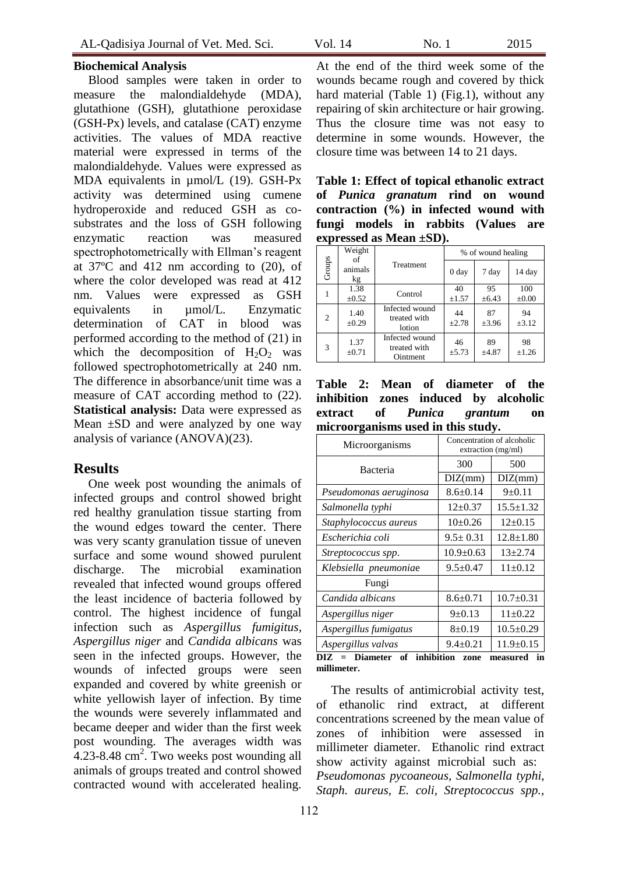Blood samples were taken in order to measure the malondialdehyde (MDA), glutathione (GSH), glutathione peroxidase (GSH-Px) levels, and catalase (CAT) enzyme activities. The values of MDA reactive material were expressed in terms of the malondialdehyde. Values were expressed as MDA equivalents in  $\mu$ mol/L (19). GSH-Px activity was determined using cumene hydroperoxide and reduced GSH as cosubstrates and the loss of GSH following enzymatic reaction was measured spectrophotometrically with Ellman's reagent at 37ºC and 412 nm according to (20), of where the color developed was read at 412 nm. Values were expressed as GSH equivalents in µmol/L. Enzymatic determination of CAT in blood was performed according to the method of (21) in which the decomposition of  $H_2O_2$  was followed spectrophotometrically at 240 nm. The difference in absorbance/unit time was a measure of CAT according method to (22). **Statistical analysis:** Data were expressed as Mean  $\pm SD$  and were analyzed by one way analysis of variance (ANOVA)(23).

#### **Results**

One week post wounding the animals of infected groups and control showed bright red healthy granulation tissue starting from the wound edges toward the center. There was very scanty granulation tissue of uneven surface and some wound showed purulent discharge. The microbial examination revealed that infected wound groups offered the least incidence of bacteria followed by control. The highest incidence of fungal infection such as *Aspergillus fumigitus, Aspergillus niger* and *Candida albicans* was seen in the infected groups. However, the wounds of infected groups were seen expanded and covered by white greenish or white yellowish layer of infection. By time the wounds were severely inflammated and became deeper and wider than the first week post wounding. The averages width was  $4.23 - 8.48$  cm<sup>2</sup>. Two weeks post wounding all animals of groups treated and control showed contracted wound with accelerated healing.

At the end of the third week some of the wounds became rough and covered by thick hard material (Table 1) (Fig.1), without any repairing of skin architecture or hair growing. Thus the closure time was not easy to determine in some wounds. However, the closure time was between 14 to 21 days.

**Table 1: Effect of topical ethanolic extract of** *Punica granatum* **rind on wound contraction (%) in infected wound with fungi models in rabbits (Values are expressed as Mean ±SD).** 

| Groups         | Weight<br>of       |                                            | % of wound healing |             |                   |  |
|----------------|--------------------|--------------------------------------------|--------------------|-------------|-------------------|--|
|                | animals<br>kg      | Treatment                                  | 0 <sub>day</sub>   | 7 day       | 14 day            |  |
|                | 1.38<br>$\pm 0.52$ | Control                                    | 40<br>$\pm 1.57$   | 95<br>±6.43 | 100<br>$\pm 0.00$ |  |
| $\mathfrak{2}$ | 1.40<br>$\pm 0.29$ | Infected wound<br>treated with<br>lotion   | 44<br>±2.78        | 87<br>±3.96 | 94<br>$\pm 3.12$  |  |
| 3              | 1.37<br>$\pm 0.71$ | Infected wound<br>treated with<br>Ointment | 46<br>±5.73        | 89<br>±4.87 | 98<br>$\pm 1.26$  |  |

**Table 2: Mean of diameter of the inhibition zones induced by alcoholic extract of** *Punica grantum* **on microorganisms used in this study.**

| Microorganisms                                                                       | Concentration of alcoholic<br>extraction (mg/ml) |                 |  |  |  |  |  |
|--------------------------------------------------------------------------------------|--------------------------------------------------|-----------------|--|--|--|--|--|
| Bacteria                                                                             | 300                                              | 500             |  |  |  |  |  |
|                                                                                      | DIZ(mm)                                          | DIZ(mm)         |  |  |  |  |  |
| Pseudomonas aeruginosa                                                               | $8.6 \pm 0.14$                                   | $9+0.11$        |  |  |  |  |  |
| Salmonella typhi                                                                     | $12+0.37$                                        | $15.5 \pm 1.32$ |  |  |  |  |  |
| Staphylococcus aureus                                                                | $10\pm0.26$                                      | $12 \pm 0.15$   |  |  |  |  |  |
| Escherichia coli                                                                     | $9.5 \pm 0.31$                                   | $12.8 \pm 1.80$ |  |  |  |  |  |
| Streptococcus spp.                                                                   | $10.9 \pm 0.63$                                  | $13+2.74$       |  |  |  |  |  |
| Klebsiella pneumoniae                                                                | $9.5 \pm 0.47$                                   | $11\pm0.12$     |  |  |  |  |  |
| Fungi                                                                                |                                                  |                 |  |  |  |  |  |
| Candida albicans                                                                     | $8.6 \pm 0.71$                                   | $10.7 \pm 0.31$ |  |  |  |  |  |
| Aspergillus niger                                                                    | $9 \pm 0.13$                                     | $11+0.22$       |  |  |  |  |  |
| Aspergillus fumigatus                                                                | $8 \pm 0.19$                                     | $10.5 \pm 0.29$ |  |  |  |  |  |
| Aspergillus valvas                                                                   | $9.4 \pm 0.21$                                   | $11.9 \pm 0.15$ |  |  |  |  |  |
| inhibition<br>of<br><b>Diameter</b><br>DIZ.<br>measured<br>in<br>zone<br>millimeter. |                                                  |                 |  |  |  |  |  |

The results of antimicrobial activity test, of ethanolic rind extract, at different concentrations screened by the mean value of zones of inhibition were assessed in millimeter diameter. Ethanolic rind extract show activity against microbial such as: *Pseudomonas pycoaneous, Salmonella typhi, Staph. aureus, E. coli, Streptococcus spp.,*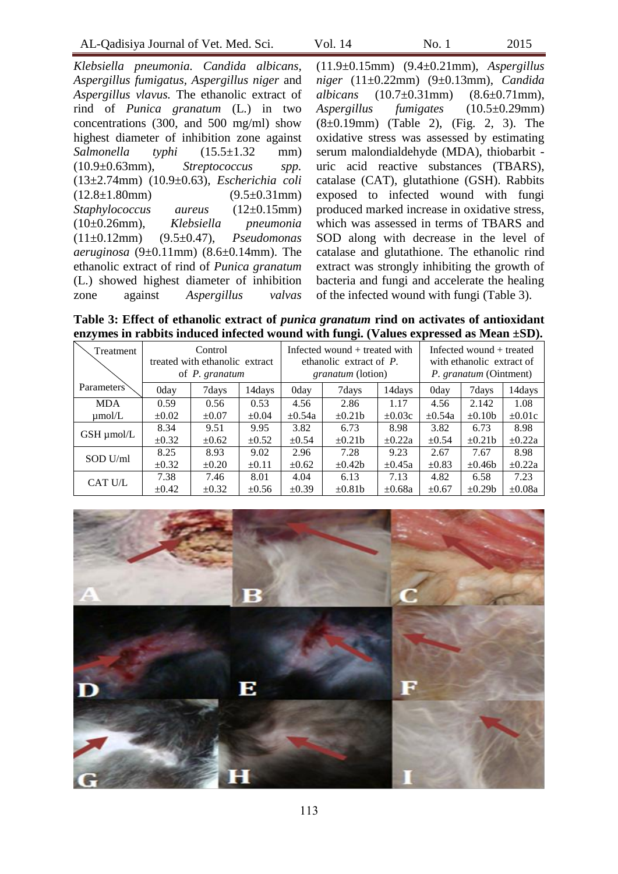*Klebsiella pneumonia. Candida albicans, Aspergillus fumigatus, Aspergillus niger* and *Aspergillus vlavus.* The ethanolic extract of rind of *Punica granatum* (L.) in two concentrations (300, and 500 mg/ml) show highest diameter of inhibition zone against *Salmonella typhi* (15.5±1.32 mm) (10.9±0.63mm), *Streptococcus spp.* (13±2.74mm) (10.9±0.63), *Escherichia coli*  $(12.8\pm1.80$ mm)  $(9.5\pm0.31$ mm) *Staphylococcus aureus* (12±0.15mm) (10±0.26mm), *Klebsiella pneumonia* (11±0.12mm) (9.5±0.47), *Pseudomonas aeruginosa* (9±0.11mm) (8.6±0.14mm). The ethanolic extract of rind of *Punica granatum* (L.) showed highest diameter of inhibition zone against *Aspergillus valvas* (11.9±0.15mm) (9.4±0.21mm), *Aspergillus niger* (11±0.22mm) (9±0.13mm), *Candida albicans* (10.7±0.31mm) (8.6±0.71mm), *Aspergillus fumigates* (10.5±0.29mm) (8±0.19mm) (Table 2), (Fig. 2, 3). The oxidative stress was assessed by estimating serum malondialdehyde (MDA), thiobarbit uric acid reactive substances (TBARS), catalase (CAT), glutathione (GSH). Rabbits exposed to infected wound with fungi produced marked increase in oxidative stress, which was assessed in terms of TBARS and SOD along with decrease in the level of catalase and glutathione. The ethanolic rind extract was strongly inhibiting the growth of bacteria and fungi and accelerate the healing of the infected wound with fungi (Table 3).

**Table 3: Effect of ethanolic extract of** *punica granatum* **rind on activates of antioxidant enzymes in rabbits induced infected wound with fungi. (Values expressed as Mean ±SD).**

| Treatment   | Control<br>treated with ethanolic extract<br>of <i>P.</i> granatum |            | Infected wound $+$ treated with<br>ethanolic extract of $P$ .<br><i>granatum</i> (lotion) |             | Infected wound + treated<br>with ethanolic extract of<br><i>P. granatum</i> (Ointment) |             |             |              |             |
|-------------|--------------------------------------------------------------------|------------|-------------------------------------------------------------------------------------------|-------------|----------------------------------------------------------------------------------------|-------------|-------------|--------------|-------------|
| Parameters  | 0day                                                               | 7days      | 14days                                                                                    | 0day        | 7days                                                                                  | 14days      | 0day        | 7days        | 14days      |
| <b>MDA</b>  | 0.59                                                               | 0.56       | 0.53                                                                                      | 4.56        | 2.86                                                                                   | 1.17        | 4.56        | 2.142        | 1.08        |
| $\mu$ mol/L | $\pm 0.02$                                                         | $\pm 0.07$ | $\pm 0.04$                                                                                | $\pm 0.54a$ | $\pm 0.21$ b                                                                           | $\pm 0.03c$ | $\pm 0.54a$ | $\pm 0.10b$  | $\pm 0.01c$ |
| GSH µmol/L  | 8.34                                                               | 9.51       | 9.95                                                                                      | 3.82        | 6.73                                                                                   | 8.98        | 3.82        | 6.73         | 8.98        |
|             | $\pm 0.32$                                                         | $\pm 0.62$ | $\pm 0.52$                                                                                | $\pm 0.54$  | $\pm 0.21$ b                                                                           | $\pm 0.22a$ | $+0.54$     | $\pm 0.21$ b | $\pm 0.22a$ |
| $SOD$ U/ml  | 8.25                                                               | 8.93       | 9.02                                                                                      | 2.96        | 7.28                                                                                   | 9.23        | 2.67        | 7.67         | 8.98        |
|             | $\pm 0.32$                                                         | $\pm 0.20$ | $\pm 0.11$                                                                                | $\pm 0.62$  | $\pm 0.42b$                                                                            | $\pm 0.45a$ | $\pm 0.83$  | $\pm 0.46b$  | $\pm 0.22a$ |
| CAT U/L     | 7.38                                                               | 7.46       | 8.01                                                                                      | 4.04        | 6.13                                                                                   | 7.13        | 4.82        | 6.58         | 7.23        |
|             | $\pm 0.42$                                                         | $\pm 0.32$ | $\pm 0.56$                                                                                | $\pm 0.39$  | $\pm 0.81$ b                                                                           | $\pm 0.68a$ | $\pm 0.67$  | $\pm 0.29b$  | $\pm 0.08a$ |

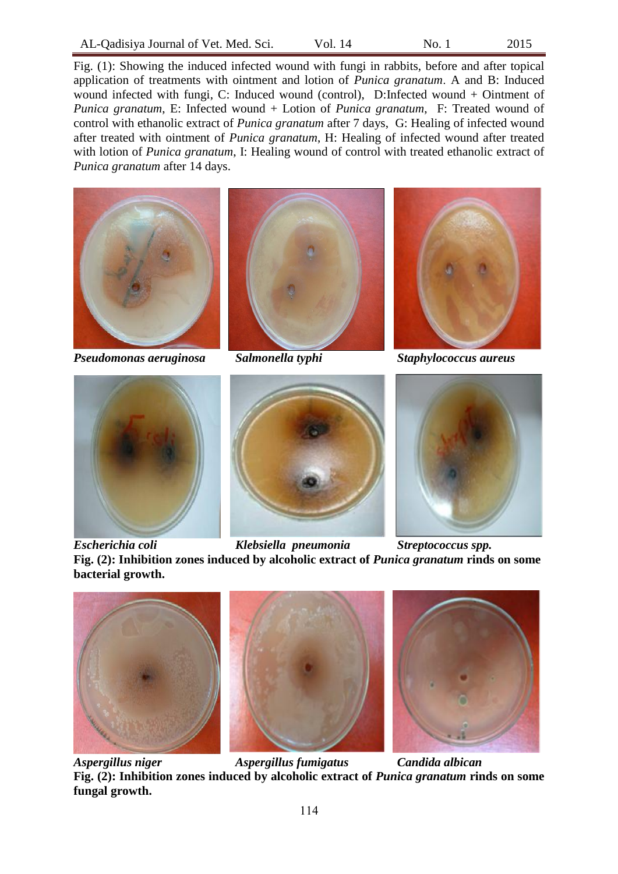Fig. (1): Showing the induced infected wound with fungi in rabbits, before and after topical application of treatments with ointment and lotion of *Punica granatum*. A and B: Induced wound infected with fungi, C: Induced wound (control), D:Infected wound + Ointment of *Punica granatum*, E: Infected wound + Lotion of *Punica granatum*, F: Treated wound of control with ethanolic extract of *Punica granatum* after 7 days, G: Healing of infected wound after treated with ointment of *Punica granatum*, H: Healing of infected wound after treated with lotion of *Punica granatum*, I: Healing wound of control with treated ethanolic extract of *Punica granatum* after 14 days.



*Pseudomonas aeruginosa Salmonella typhi Staphylococcus aureus*











*Escherichia coli Klebsiella pneumonia Streptococcus spp.* **Fig. (2): Inhibition zones induced by alcoholic extract of** *Punica granatum* **rinds on some bacterial growth.**







*Aspergillus niger Aspergillus fumigatus Candida albican* **Fig. (2): Inhibition zones induced by alcoholic extract of** *Punica granatum* **rinds on some fungal growth.**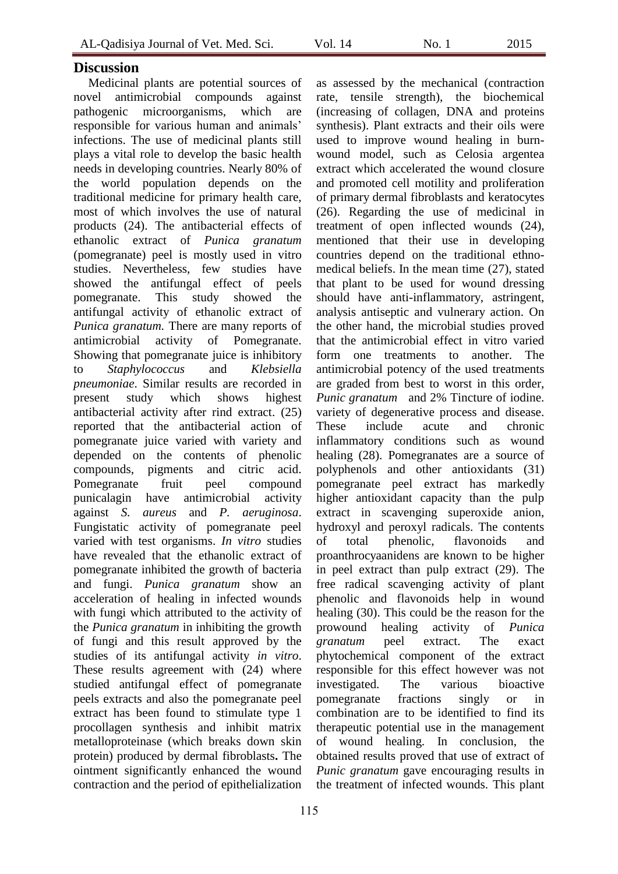Medicinal plants are potential sources of novel antimicrobial compounds against pathogenic microorganisms, which are responsible for various human and animals' infections. The use of medicinal plants still plays a vital role to develop the basic health needs in developing countries. Nearly 80% of the world population depends on the traditional medicine for primary health care, most of which involves the use of natural products (24). The antibacterial effects of ethanolic extract of *Punica granatum* (pomegranate) peel is mostly used in vitro studies. Nevertheless, few studies have showed the antifungal effect of peels pomegranate. This study showed the antifungal activity of ethanolic extract of *Punica granatum.* There are many reports of antimicrobial activity of Pomegranate. Showing that pomegranate juice is inhibitory to *Staphylococcus* and *Klebsiella pneumoniae*. Similar results are recorded in present study which shows highest antibacterial activity after rind extract. (25) reported that the antibacterial action of pomegranate juice varied with variety and depended on the contents of phenolic compounds, pigments and citric acid. Pomegranate fruit peel compound punicalagin have antimicrobial activity against *S. aureus* and *P. aeruginosa*. Fungistatic activity of pomegranate peel varied with test organisms. *In vitro* studies have revealed that the ethanolic extract of pomegranate inhibited the growth of bacteria and fungi. *Punica granatum* show an acceleration of healing in infected wounds with fungi which attributed to the activity of the *Punica granatum* in inhibiting the growth of fungi and this result approved by the studies of its antifungal activity *in vitro*. These results agreement with (24) where studied antifungal effect of pomegranate peels extracts and also the pomegranate peel extract has been found to stimulate type 1 procollagen synthesis and inhibit matrix metalloproteinase (which breaks down skin protein) produced by dermal fibroblasts**.** The ointment significantly enhanced the wound contraction and the period of epithelialization

as assessed by the mechanical (contraction rate, tensile strength), the biochemical (increasing of collagen, DNA and proteins synthesis). Plant extracts and their oils were used to improve wound healing in burnwound model, such as Celosia argentea extract which accelerated the wound closure and promoted cell motility and proliferation of primary dermal fibroblasts and keratocytes (26). Regarding the use of medicinal in treatment of open inflected wounds (24), mentioned that their use in developing countries depend on the traditional ethnomedical beliefs. In the mean time (27), stated that plant to be used for wound dressing should have anti-inflammatory, astringent, analysis antiseptic and vulnerary action. On the other hand, the microbial studies proved that the antimicrobial effect in vitro varied form one treatments to another. The antimicrobial potency of the used treatments are graded from best to worst in this order, *Punic granatum* and 2% Tincture of iodine. variety of degenerative process and disease. These include acute and chronic inflammatory conditions such as wound healing (28). Pomegranates are a source of polyphenols and other antioxidants (31) pomegranate peel extract has markedly higher antioxidant capacity than the pulp extract in scavenging superoxide anion, hydroxyl and peroxyl radicals. The contents of total phenolic, flavonoids and proanthrocyaanidens are known to be higher in peel extract than pulp extract (29). The free radical scavenging activity of plant phenolic and flavonoids help in wound healing (30). This could be the reason for the prowound healing activity of *Punica granatum* peel extract. The exact phytochemical component of the extract responsible for this effect however was not investigated. The various bioactive pomegranate fractions singly or in combination are to be identified to find its therapeutic potential use in the management of wound healing. In conclusion, the obtained results proved that use of extract of *Punic granatum* gave encouraging results in the treatment of infected wounds. This plant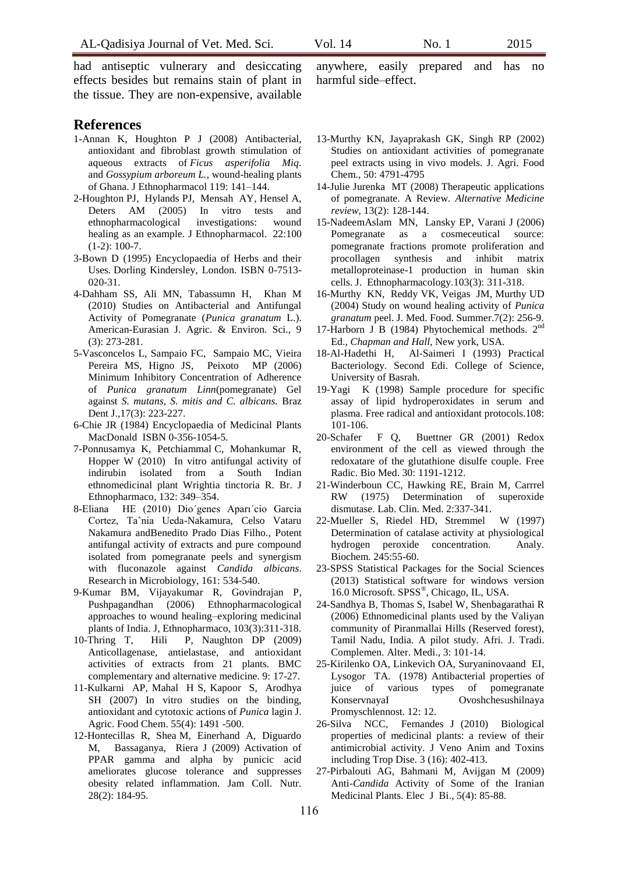had antiseptic vulnerary and desiccating effects besides but remains stain of plant in the tissue. They are non-expensive, available

## **References**

- 1-Annan K, Houghton P J (2008) Antibacterial, antioxidant and fibroblast growth stimulation of aqueous extracts of *Ficus asperifolia Miq*. and *Gossypium arboreum L.*, wound-healing plants of Ghana. J Ethnopharmacol 119: 141–144.
- 2-Houghton PJ, Hylands PJ, Mensah AY, Hensel A, Deters AM (2005) In vitro tests and<br>ethnopharmacological investigations: wound ethnopharmacological investigations: wound healing as an example. J Ethnopharmacol. 22:100 (1-2): 100-7.
- 3-Bown D (1995) Encyclopaedia of Herbs and their Uses*.* Dorling Kindersley, London. ISBN 0-7513- 020-31.
- 4-Dahham SS, Ali MN, Tabassumn H, Khan M (2010) Studies on Antibacterial and Antifungal Activity of Pomegranate (*Punica granatum* L.). American-Eurasian J. Agric. & Environ. Sci., 9 (3): 273-281.
- 5-Vasconcelos L, Sampaio FC, Sampaio MC, Vieira Pereira MS, Higno JS, Peixoto MP (2006) Minimum Inhibitory Concentration of Adherence of *Punica granatum Linn*(pomegranate) Gel against *S. mutans, S. mitis and C. albicans.* Braz Dent J.,17(3): 223-227.
- 6-Chie JR (1984) Encyclopaedia of Medicinal Plants MacDonald ISBN 0-356-1054-5*.*
- 7-Ponnusamya K, Petchiammal C, Mohankumar R, Hopper W (2010) In vitro antifungal activity of indirubin isolated from a South Indian ethnomedicinal plant Wrightia tinctoria R. Br. J Ethnopharmaco, 132: 349–354.
- 8-Eliana HE (2010) Dio´genes Aparı´cio Garcia Cortez, Taˆnia Ueda-Nakamura, Celso Vataru Nakamura andBenedito Prado Dias Filho., Potent antifungal activity of extracts and pure compound isolated from pomegranate peels and synergism with fluconazole against *Candida albicans*. Research in Microbiology, 161: 534-540.
- 9-Kumar BM, Vijayakumar R, Govindrajan P, Pushpagandhan (2006) Ethnopharmacological approaches to wound healing–exploring medicinal plants of India. J, Ethnopharmaco, 103(3):311-318.
- 10-Thring T, Hili P, Naughton DP (2009) Anticollagenase, antielastase, and antioxidant activities of extracts from 21 plants. BMC complementary and alternative medicine. 9: 17-27.
- 11-Kulkarni AP, Mahal H S, Kapoor S, Arodhya SH (2007) In vitro studies on the binding, antioxidant and cytotoxic actions of *Punica* lagin J. Agric. Food Chem. 55(4): 1491 -500.
- 12-Hontecillas R, Shea M, Einerhand A, Diguardo M, Bassaganya, Riera J (2009) Activation of PPAR gamma and alpha by punicic acid ameliorates glucose tolerance and suppresses obesity related inflammation. Jam Coll. Nutr. 28(2): 184-95.

anywhere, easily prepared and has no harmful side–effect.

- 13-Murthy KN, Jayaprakash GK, Singh RP (2002) Studies on antioxidant activities of pomegranate peel extracts using in vivo models. J. Agri. Food Chem., 50: 4791-4795
- 14-Julie Jurenka MT (2008) Therapeutic applications of pomegranate. A Review. *Alternative Medicine review*, 13(2): 128-144.
- 15-NadeemAslam MN, Lansky EP, Varani J (2006) Pomegranate as a cosmeceutical source: pomegranate fractions promote proliferation and procollagen synthesis and inhibit matrix metalloproteinase-1 production in human skin cells. J. Ethnopharmacology.103(3): 311-318.
- 16-Murthy KN, Reddy VK, Veigas JM, Murthy UD (2004) Study on wound healing activity of *Punica granatum* peel. J. Med. Food. Summer.7(2): 256-9.
- 17-Harborn J B (1984) Phytochemical methods. 2<sup>nd</sup> Ed., *Chapman and Hall,* New york, USA.
- 18-Al-Hadethi H, Al-Saimeri I (1993) Practical Bacteriology. Second Edi. College of Science, University of Basrah.
- 19-Yagi K (1998) Sample procedure for specific assay of lipid hydroperoxidates in serum and plasma. Free radical and antioxidant protocols.108: 101-106.
- 20-Schafer F Q, Buettner GR (2001) Redox environment of the cell as viewed through the redoxatare of the glutathione disulfe couple. Free Radic. Bio Med. 30: 1191-1212.
- 21-Winderboun CC, Hawking RE, Brain M, Carrrel RW (1975) Determination of superoxide dismutase. Lab. Clin. Med. 2:337-341.
- 22-Mueller S, Riedel HD, Stremmel W (1997) Determination of catalase activity at physiological hydrogen peroxide concentration. Analy. Biochem. 245:55-60.
- 23-SPSS Statistical Packages for the Social Sciences (2013) Statistical software for windows version 16.0 Microsoft. SPSS® , Chicago, IL, USA.
- 24-Sandhya B, Thomas S, Isabel W, Shenbagarathai R (2006) Ethnomedicinal plants used by the Valiyan community of Piranmallai Hills (Reserved forest), Tamil Nadu, India. A pilot study. Afri. J. Tradi. Complemen. Alter. Medi., 3: 101-14.
- 25-Kirilenko OA, Linkevich OA, Suryaninovaand EI, Lysogor TA. (1978) Antibacterial properties of juice of various types of pomegranate KonservnayaI Ovoshchesushilnaya Promyschlennost. 12: 12.
- 26-Silva NCC, Fernandes J (2010) Biological properties of medicinal plants: a review of their antimicrobial activity. J Veno Anim and Toxins including Trop Dise. 3 (16): 402-413.
- 27-Pirbalouti AG, Bahmani M, Avijgan M (2009) Anti-*Candida* Activity of Some of the Iranian Medicinal Plants. Elec J Bi., 5(4): 85-88.